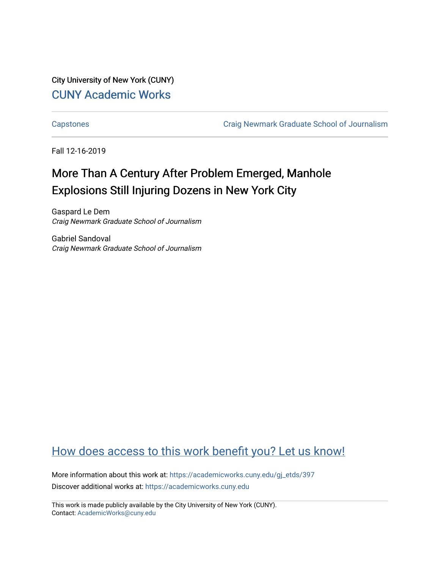City University of New York (CUNY) [CUNY Academic Works](https://academicworks.cuny.edu/) 

[Capstones](https://academicworks.cuny.edu/gj_etds) [Craig Newmark Graduate School of Journalism](https://academicworks.cuny.edu/gj) 

Fall 12-16-2019

# More Than A Century After Problem Emerged, Manhole Explosions Still Injuring Dozens in New York City

Gaspard Le Dem Craig Newmark Graduate School of Journalism

Gabriel Sandoval Craig Newmark Graduate School of Journalism

## [How does access to this work benefit you? Let us know!](http://ols.cuny.edu/academicworks/?ref=https://academicworks.cuny.edu/gj_etds/397)

More information about this work at: [https://academicworks.cuny.edu/gj\\_etds/397](https://academicworks.cuny.edu/gj_etds/397)  Discover additional works at: [https://academicworks.cuny.edu](https://academicworks.cuny.edu/?)

This work is made publicly available by the City University of New York (CUNY). Contact: [AcademicWorks@cuny.edu](mailto:AcademicWorks@cuny.edu)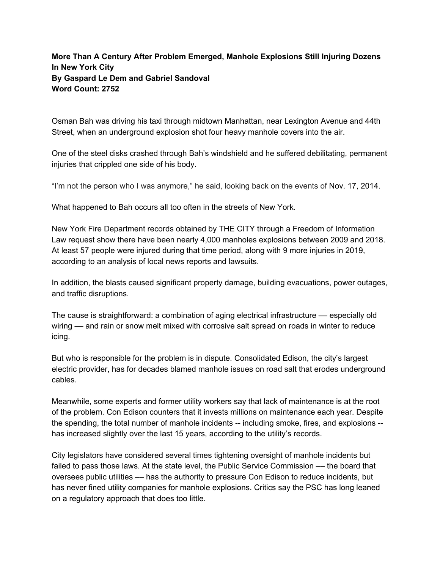### **More Than A Century After Problem Emerged, Manhole Explosions Still Injuring Dozens In New York City By Gaspard Le Dem and Gabriel Sandoval Word Count: 2752**

Osman Bah was driving his taxi through midtown Manhattan, near Lexington Avenue and 44th Street, when an underground explosion shot four heavy manhole covers into the air.

One of the steel disks crashed through Bah's windshield and he suffered debilitating, permanent injuries that crippled one side of his body.

"I'm not the person who I was anymore," he said, looking back on the events of Nov. 17, 2014.

What happened to Bah occurs all too often in the streets of New York.

New York Fire Department records obtained by THE CITY through a Freedom of Information Law request show there have been nearly 4,000 manholes explosions between 2009 and 2018. At least 57 people were injured during that time period, along with 9 more injuries in 2019, according to an analysis of local news reports and lawsuits.

In addition, the blasts caused significant property damage, building evacuations, power outages, and traffic disruptions.

The cause is straightforward: a combination of aging electrical infrastructure –– especially old wiring — and rain or snow melt mixed with corrosive salt spread on roads in winter to reduce icing.

But who is responsible for the problem is in dispute. Consolidated Edison, the city's largest electric provider, has for decades blamed manhole issues on road salt that erodes underground cables.

Meanwhile, some experts and former utility workers say that lack of maintenance is at the root of the problem. Con Edison counters that it invests millions on maintenance each year. Despite the spending, the total number of manhole incidents -- including smoke, fires, and explosions - has increased slightly over the last 15 years, according to the utility's records.

City legislators have considered several times tightening oversight of manhole incidents but failed to pass those laws. At the state level, the Public Service Commission — the board that oversees public utilities –– has the authority to pressure Con Edison to reduce incidents, but has never fined utility companies for manhole explosions. Critics say the PSC has long leaned on a regulatory approach that does too little.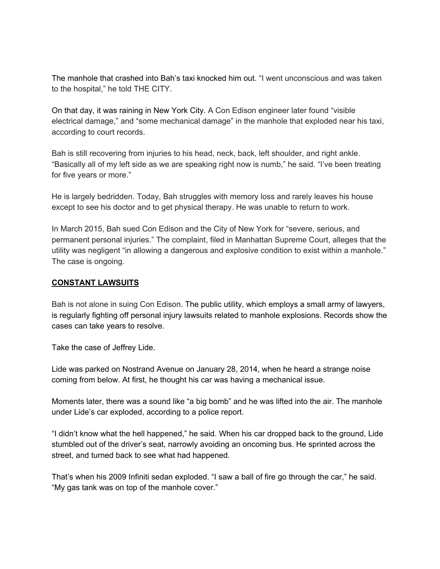The manhole that crashed into Bah's taxi knocked him out. "I went unconscious and was taken to the hospital," he told THE CITY.

On that day, it was raining in New York City. A Con Edison engineer later found "visible electrical damage," and "some mechanical damage" in the manhole that exploded near his taxi, according to court records.

Bah is still recovering from injuries to his head, neck, back, left shoulder, and right ankle. "Basically all of my left side as we are speaking right now is numb," he said. "I've been treating for five years or more."

He is largely bedridden. Today, Bah struggles with memory loss and rarely leaves his house except to see his doctor and to get physical therapy. He was unable to return to work.

In March 2015, Bah sued Con Edison and the City of New York for "severe, serious, and permanent personal injuries." The complaint, filed in Manhattan Supreme Court, alleges that the utility was negligent "in allowing a dangerous and explosive condition to exist within a manhole." The case is ongoing.

#### **CONSTANT LAWSUITS**

Bah is not alone in suing Con Edison. The public utility, which employs a small army of lawyers, is regularly fighting off personal injury lawsuits related to manhole explosions. Records show the cases can take years to resolve.

Take the case of Jeffrey Lide.

Lide was parked on Nostrand Avenue on January 28, 2014, when he heard a strange noise coming from below. At first, he thought his car was having a mechanical issue.

Moments later, there was a sound like "a big bomb" and he was lifted into the air. The manhole under Lide's car exploded, according to a police report.

"I didn't know what the hell happened," he said. When his car dropped back to the ground, Lide stumbled out of the driver's seat, narrowly avoiding an oncoming bus. He sprinted across the street, and turned back to see what had happened.

That's when his 2009 Infiniti sedan exploded. "I saw a ball of fire go through the car," he said. "My gas tank was on top of the manhole cover."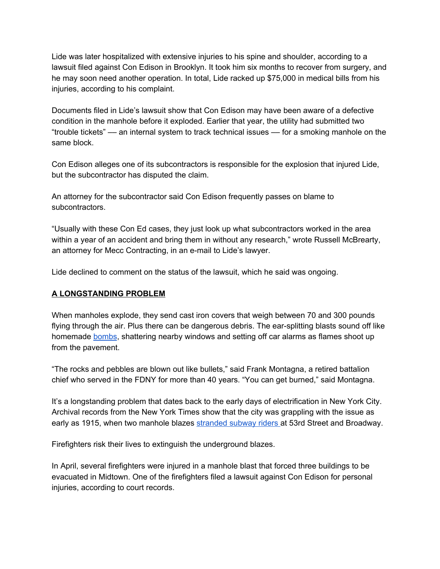Lide was later hospitalized with extensive injuries to his spine and shoulder, according to a lawsuit filed against Con Edison in Brooklyn. It took him six months to recover from surgery, and he may soon need another operation. In total, Lide racked up \$75,000 in medical bills from his injuries, according to his complaint.

Documents filed in Lide's lawsuit show that Con Edison may have been aware of a defective condition in the manhole before it exploded. Earlier that year, the utility had submitted two "trouble tickets" –– an internal system to track technical issues –– for a smoking manhole on the same block.

Con Edison alleges one of its subcontractors is responsible for the explosion that injured Lide, but the subcontractor has disputed the claim.

An attorney for the subcontractor said Con Edison frequently passes on blame to subcontractors.

"Usually with these Con Ed cases, they just look up what subcontractors worked in the area within a year of an accident and bring them in without any research," wrote Russell McBrearty, an attorney for Mecc Contracting, in an e-mail to Lide's lawyer.

Lide declined to comment on the status of the lawsuit, which he said was ongoing.

#### **A LONGSTANDING PROBLEM**

When manholes explode, they send cast iron covers that weigh between 70 and 300 pounds flying through the air. Plus there can be dangerous debris. The ear-splitting blasts sound off like homemade [bombs](https://www.youtube.com/watch?v=xpIpn52jYys), shattering nearby windows and setting off car alarms as flames shoot up from the pavement.

"The rocks and pebbles are blown out like bullets," said Frank Montagna, a retired battalion chief who served in the FDNY for more than 40 years. "You can get burned," said Montagna.

It's a longstanding problem that dates back to the early days of electrification in New York City. Archival records from the New York Times show that the city was grappling with the issue as early as 1915, when two manhole blazes [stranded](https://timesmachine.nytimes.com/timesmachine/1915/01/07/106729424.pdf) subway riders at 53rd Street and Broadway.

Firefighters risk their lives to extinguish the underground blazes.

In April, several firefighters were injured in a manhole blast that forced three buildings to be evacuated in Midtown. One of the firefighters filed a lawsuit against Con Edison for personal injuries, according to court records.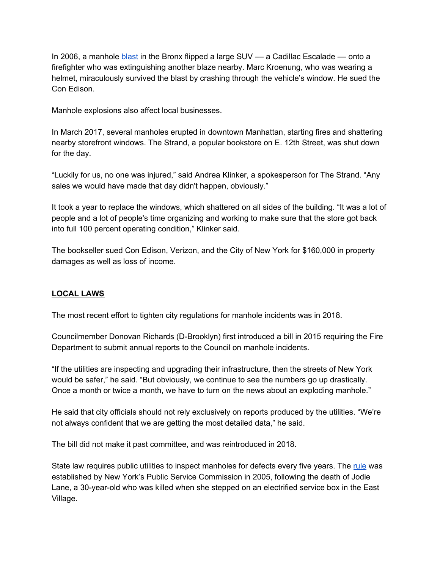In 2006, a manhole [blast](https://nypost.com/2006/08/07/manhole-blast-shot-suv-at-me-firefighter/) in the Bronx flipped a large  $SUV - a$  Cadillac Escalade –– onto a firefighter who was extinguishing another blaze nearby. Marc Kroenung, who was wearing a helmet, miraculously survived the blast by crashing through the vehicle's window. He sued the Con Edison.

Manhole explosions also affect local businesses.

In March 2017, several manholes erupted in downtown Manhattan, starting fires and shattering nearby storefront windows. The Strand, a popular bookstore on E. 12th Street, was shut down for the day.

"Luckily for us, no one was injured," said Andrea Klinker, a spokesperson for The Strand. "Any sales we would have made that day didn't happen, obviously."

It took a year to replace the windows, which shattered on all sides of the building. "It was a lot of people and a lot of people's time organizing and working to make sure that the store got back into full 100 percent operating condition," Klinker said.

The bookseller sued Con Edison, Verizon, and the City of New York for \$160,000 in property damages as well as loss of income.

#### **LOCAL LAWS**

The most recent effort to tighten city regulations for manhole incidents was in 2018.

Councilmember Donovan Richards (D-Brooklyn) first introduced a bill in 2015 requiring the Fire Department to submit annual reports to the Council on manhole incidents.

"If the utilities are inspecting and upgrading their infrastructure, then the streets of New York would be safer," he said. "But obviously, we continue to see the numbers go up drastically. Once a month or twice a month, we have to turn on the news about an exploding manhole."

He said that city officials should not rely exclusively on reports produced by the utilities. "We're not always confident that we are getting the most detailed data," he said.

The bill did not make it past committee, and was reintroduced in 2018.

State law requires public utilities to inspect manholes for defects every five years. The [rule](http://documents.dps.ny.gov/public/Common/ViewDoc.aspx?DocRefId=%7B41FC64C3-1A22-495E-9468-7285FBBB0930%7D) was established by New York's Public Service Commission in 2005, following the death of Jodie Lane, a 30-year-old who was killed when she stepped on an electrified service box in the East Village.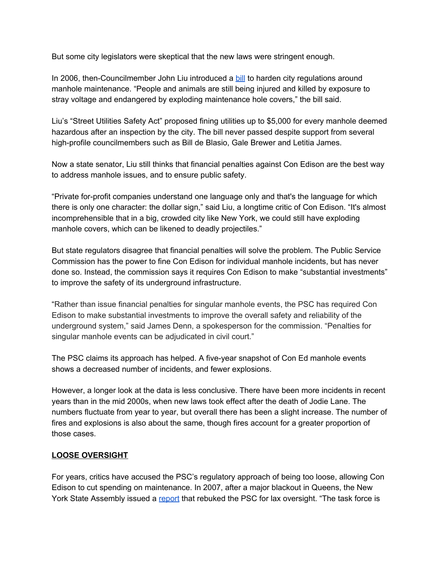But some city legislators were skeptical that the new laws were stringent enough.

In 2006, then-Councilmember John Liu introduced a [bill](https://laws.council.nyc.gov/legislation/int-0252-2006/) to harden city regulations around manhole maintenance. "People and animals are still being injured and killed by exposure to stray voltage and endangered by exploding maintenance hole covers," the bill said.

Liu's "Street Utilities Safety Act" proposed fining utilities up to \$5,000 for every manhole deemed hazardous after an inspection by the city. The bill never passed despite support from several high-profile councilmembers such as Bill de Blasio, Gale Brewer and Letitia James.

Now a state senator, Liu still thinks that financial penalties against Con Edison are the best way to address manhole issues, and to ensure public safety.

"Private for-profit companies understand one language only and that's the language for which there is only one character: the dollar sign," said Liu, a longtime critic of Con Edison. "It's almost incomprehensible that in a big, crowded city like New York, we could still have exploding manhole covers, which can be likened to deadly projectiles."

But state regulators disagree that financial penalties will solve the problem. The Public Service Commission has the power to fine Con Edison for individual manhole incidents, but has never done so. Instead, the commission says it requires Con Edison to make "substantial investments" to improve the safety of its underground infrastructure.

"Rather than issue financial penalties for singular manhole events, the PSC has required Con Edison to make substantial investments to improve the overall safety and reliability of the underground system," said James Denn, a spokesperson for the commission. "Penalties for singular manhole events can be adjudicated in civil court."

The PSC claims its approach has helped. A five-year snapshot of Con Ed manhole events shows a decreased number of incidents, and fewer explosions.

However, a longer look at the data is less conclusive. There have been more incidents in recent years than in the mid 2000s, when new laws took effect after the death of Jodie Lane. The numbers fluctuate from year to year, but overall there has been a slight increase. The number of fires and explosions is also about the same, though fires account for a greater proportion of those cases.

#### **LOOSE OVERSIGHT**

For years, critics have accused the PSC's regulatory approach of being too loose, allowing Con Edison to cut spending on maintenance. In 2007, after a major blackout in Queens, the New York State Assembly issued a [report](https://nyassembly.gov/member_files/036/20070130/) that rebuked the PSC for lax oversight. "The task force is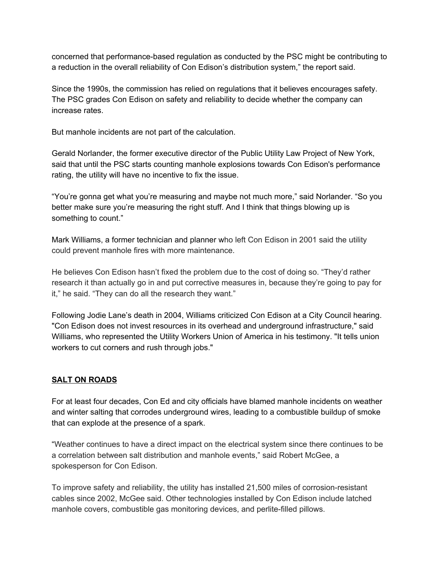concerned that performance-based regulation as conducted by the PSC might be contributing to a reduction in the overall reliability of Con Edison's distribution system," the report said.

Since the 1990s, the commission has relied on regulations that it believes encourages safety. The PSC grades Con Edison on safety and reliability to decide whether the company can increase rates.

But manhole incidents are not part of the calculation.

Gerald Norlander, the former executive director of the Public Utility Law Project of New York, said that until the PSC starts counting manhole explosions towards Con Edison's performance rating, the utility will have no incentive to fix the issue.

"You're gonna get what you're measuring and maybe not much more," said Norlander. "So you better make sure you're measuring the right stuff. And I think that things blowing up is something to count."

Mark Williams, a former technician and planner who left Con Edison in 2001 said the utility could prevent manhole fires with more maintenance.

He believes Con Edison hasn't fixed the problem due to the cost of doing so. "They'd rather research it than actually go in and put corrective measures in, because they're going to pay for it," he said. "They can do all the research they want."

Following Jodie Lane's death in 2004, Williams criticized Con Edison at a City Council hearing. "Con Edison does not invest resources in its overhead and underground infrastructure," said Williams, who represented the Utility Workers Union of America in his testimony. "It tells union workers to cut corners and rush through jobs."

#### **SALT ON ROADS**

For at least four decades, Con Ed and city officials have blamed manhole incidents on weather and winter salting that corrodes underground wires, leading to a combustible buildup of smoke that can explode at the presence of a spark.

"Weather continues to have a direct impact on the electrical system since there continues to be a correlation between salt distribution and manhole events," said Robert McGee, a spokesperson for Con Edison.

To improve safety and reliability, the utility has installed 21,500 miles of corrosion-resistant cables since 2002, McGee said. Other technologies installed by Con Edison include latched manhole covers, combustible gas monitoring devices, and perlite-filled pillows.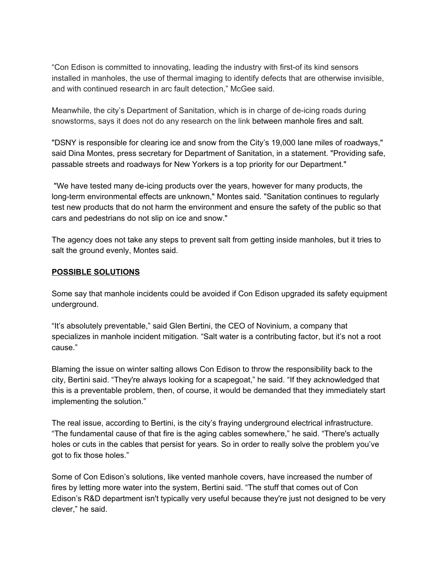"Con Edison is committed to innovating, leading the industry with first-of its kind sensors installed in manholes, the use of thermal imaging to identify defects that are otherwise invisible, and with continued research in arc fault detection," McGee said.

Meanwhile, the city's Department of Sanitation, which is in charge of de-icing roads during snowstorms, says it does not do any research on the link between manhole fires and salt.

"DSNY is responsible for clearing ice and snow from the City's 19,000 lane miles of roadways," said Dina Montes, press secretary for Department of Sanitation, in a statement. "Providing safe, passable streets and roadways for New Yorkers is a top priority for our Department."

"We have tested many de-icing products over the years, however for many products, the long-term environmental effects are unknown," Montes said. "Sanitation continues to regularly test new products that do not harm the environment and ensure the safety of the public so that cars and pedestrians do not slip on ice and snow."

The agency does not take any steps to prevent salt from getting inside manholes, but it tries to salt the ground evenly, Montes said.

#### **POSSIBLE SOLUTIONS**

Some say that manhole incidents could be avoided if Con Edison upgraded its safety equipment underground.

"It's absolutely preventable," said Glen Bertini, the CEO of Novinium, a company that specializes in manhole incident mitigation. "Salt water is a contributing factor, but it's not a root cause."

Blaming the issue on winter salting allows Con Edison to throw the responsibility back to the city, Bertini said. "They're always looking for a scapegoat," he said. "If they acknowledged that this is a preventable problem, then, of course, it would be demanded that they immediately start implementing the solution."

The real issue, according to Bertini, is the city's fraying underground electrical infrastructure. "The fundamental cause of that fire is the aging cables somewhere," he said. "There's actually holes or cuts in the cables that persist for years. So in order to really solve the problem you've got to fix those holes."

Some of Con Edison's solutions, like vented manhole covers, have increased the number of fires by letting more water into the system, Bertini said. "The stuff that comes out of Con Edison's R&D department isn't typically very useful because they're just not designed to be very clever," he said.